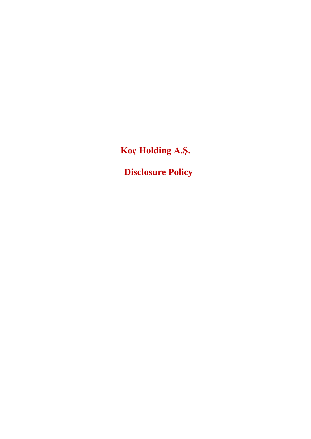**Koç Holding A.Ş.**

**Disclosure Policy**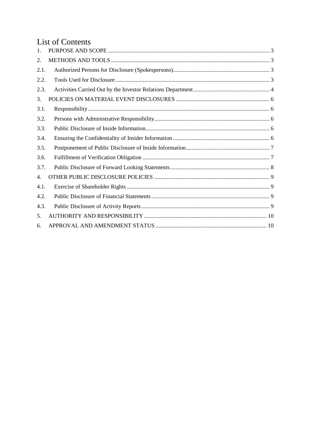# List of Contents

| $\mathbf{1}$ . |  |
|----------------|--|
| 2.             |  |
| 2.1.           |  |
| 2.2.           |  |
| 2.3.           |  |
| 3.             |  |
| 3.1.           |  |
| 3.2.           |  |
| 3.3.           |  |
| 3.4.           |  |
| 3.5.           |  |
| 3.6.           |  |
| 3.7.           |  |
| 4.             |  |
| 4.1.           |  |
| 4.2.           |  |
| 4.3.           |  |
| 5.             |  |
| 6.             |  |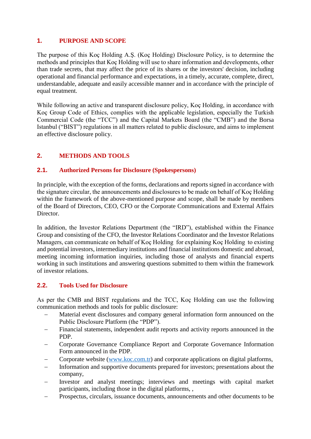## <span id="page-2-0"></span>**1. PURPOSE AND SCOPE**

The purpose of this Koç Holding A.Ş. (Koç Holding) Disclosure Policy, is to determine the methods and principles that Koç Holding will use to share information and developments, other than trade secrets, that may affect the price of its shares or the investors' decision, including operational and financial performance and expectations, in a timely, accurate, complete, direct, understandable, adequate and easily accessible manner and in accordance with the principle of equal treatment.

While following an active and transparent disclosure policy, Koç Holding, in accordance with Koç Group Code of Ethics, complies with the applicable legislation, especially the Turkish Commercial Code (the "TCC") and the Capital Markets Board (the "CMB") and the Borsa Istanbul ("BIST") regulations in all matters related to public disclosure, and aims to implement an effective disclosure policy.

# <span id="page-2-1"></span>**2. METHODS AND TOOLS**

## <span id="page-2-2"></span>**2.1. Authorized Persons for Disclosure (Spokespersons)**

In principle, with the exception of the forms, declarations and reports signed in accordance with the signature circular, the announcements and disclosures to be made on behalf of Koç Holding within the framework of the above-mentioned purpose and scope, shall be made by members of the Board of Directors, CEO, CFO or the Corporate Communications and External Affairs Director.

In addition, the Investor Relations Department (the "IRD"), established within the Finance Group and consisting of the CFO, the Investor Relations Coordinator and the Investor Relations Managers, can communicate on behalf of Koç Holding for explaining Koç Holding to existing and potential investors, intermediary institutions and financial institutions domestic and abroad, meeting incoming information inquiries, including those of analysts and financial experts working in such institutions and answering questions submitted to them within the framework of investor relations.

# <span id="page-2-3"></span>**2.2. Tools Used for Disclosure**

As per the CMB and BIST regulations and the TCC, Koç Holding can use the following communication methods and tools for public disclosure:

- Material event disclosures and company general information form announced on the Public Disclosure Platform (the "PDP").
- Financial statements, independent audit reports and activity reports announced in the PDP.
- Corporate Governance Compliance Report and Corporate Governance Information Form announced in the PDP.
- Corporate website [\(www.koc.com.tr\)](http://www.koc.com.tr/) and corporate applications on digital platforms,
- Information and supportive documents prepared for investors; presentations about the company,
- Investor and analyst meetings; interviews and meetings with capital market participants, including those in the digital platforms, ,
- Prospectus, circulars, issuance documents, announcements and other documents to be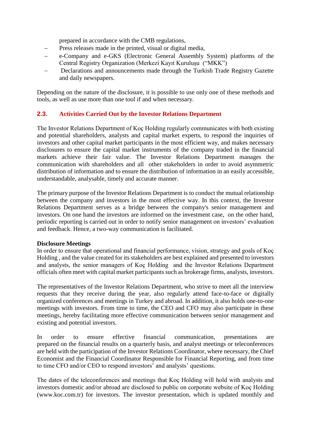prepared in accordance with the CMB regulations,

- Press releases made in the printed, visual or digital media,
- e-Company and e-GKS (Electronic General Assembly System) platforms of the Central Registry Organization (Merkezi Kayıt Kuruluşu ("MKK")
- Declarations and announcements made through the Turkish Trade Registry Gazette and daily newspapers.

Depending on the nature of the disclosure, it is possible to use only one of these methods and tools, as well as use more than one tool if and when necessary.

### <span id="page-3-0"></span>**2.3. Activities Carried Out by the Investor Relations Department**

The Investor Relations Department of Koç Holding regularly communicates with both existing and potential shareholders, analysts and capital market experts, to respond the inquiries of investors and other capital market participants in the most efficient way, and makes necessary disclosures to ensure the capital market instruments of the company traded in the financial markets achieve their fair value. The Investor Relations Department manages the communication with shareholders and all other stakeholders in order to avoid asymmetric distribution of information and to ensure the distribution of information in an easily accessible, understandable, analysable, timely and accurate manner.

The primary purpose of the Investor Relations Department is to conduct the mutual relationship between the company and investors in the most effective way. In this context, the Investor Relations Department serves as a bridge between the company's senior management and investors. On one hand the investors are informed on the investment case, on the other hand, periodic reporting is carried out in order to notify senior management on investors' evaluation and feedback. Hence, a two-way communication is facilitated.

#### **Disclosure Meetings**

In order to ensure that operational and financial performance, vision, strategy and goals of Koç Holding , and the value created for its stakeholders are best explained and presented to investors and analysts, the senior managers of Koç Holding and the Investor Relations Department officials often meet with capital market participants such as brokerage firms, analysts, investors.

The representatives of the Investor Relations Department, who strive to meet all the interview requests that they receive during the year, also regularly attend face-to-face or digitally organized conferences and meetings in Turkey and abroad. In addition, it also holds one-to-one meetings with investors. From time to time, the CEO and CFO may also participate in these meetings, hereby facilitating more effective communication between senior management and existing and potential investors.

In order to ensure effective financial communication, presentations are prepared on the financial results on a quarterly basis, and analyst meetings or teleconferences are held with the participation of the Investor Relations Coordinator, where necessary, the Chief Economist and the Financial Coordinator Responsible for Financial Reporting, and from time to time CFO and/or CEO to respond investors' and analysts' questions.

The dates of the teleconferences and meetings that Koç Holding will hold with analysts and investors domestic and/or abroad are disclosed to public on corporate website of Koç Holding (www.koc.com.tr) for investors. The investor presentation, which is updated monthly and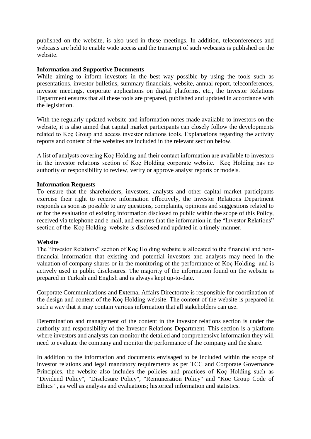published on the website, is also used in these meetings. In addition, teleconferences and webcasts are held to enable wide access and the transcript of such webcasts is published on the website.

#### **Information and Supportive Documents**

While aiming to inform investors in the best way possible by using the tools such as presentations, investor bulletins, summary financials, website, annual report, teleconferences, investor meetings, corporate applications on digital platforms, etc., the Investor Relations Department ensures that all these tools are prepared, published and updated in accordance with the legislation.

With the regularly updated website and information notes made available to investors on the website, it is also aimed that capital market participants can closely follow the developments related to Koç Group and access investor relations tools. Explanations regarding the activity reports and content of the websites are included in the relevant section below.

A list of analysts covering Koç Holding and their contact information are available to investors in the investor relations section of Koç Holding corporate website. Koç Holding has no authority or responsibility to review, verify or approve analyst reports or models.

#### **Information Requests**

To ensure that the shareholders, investors, analysts and other capital market participants exercise their right to receive information effectively, the Investor Relations Department responds as soon as possible to any questions, complaints, opinions and suggestions related to or for the evaluation of existing information disclosed to public within the scope of this Policy, received via telephone and e-mail, and ensures that the information in the "Investor Relations" section of the Koç Holding website is disclosed and updated in a timely manner.

#### **Website**

The "Investor Relations" section of Koç Holding website is allocated to the financial and nonfinancial information that existing and potential investors and analysts may need in the valuation of company shares or in the monitoring of the performance of Koç Holding and is actively used in public disclosures. The majority of the information found on the website is prepared in Turkish and English and is always kept up-to-date.

Corporate Communications and External Affairs Directorate is responsible for coordination of the design and content of the Koç Holding website. The content of the website is prepared in such a way that it may contain various information that all stakeholders can use.

Determination and management of the content in the investor relations section is under the authority and responsibility of the Investor Relations Department. This section is a platform where investors and analysts can monitor the detailed and comprehensive information they will need to evaluate the company and monitor the performance of the company and the share.

In addition to the information and documents envisaged to be included within the scope of investor relations and legal mandatory requirements as per TCC and Corporate Governance Principles, the website also includes the policies and practices of Koç Holding such as "Dividend Policy", "Disclosure Policy", "Remuneration Policy" and "Koc Group Code of Ethics ", as well as analysis and evaluations; historical information and statistics.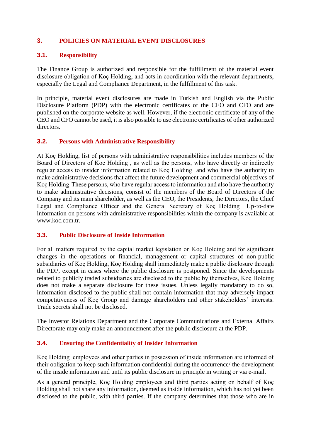## <span id="page-5-0"></span>**3. POLICIES ON MATERIAL EVENT DISCLOSURES**

### <span id="page-5-1"></span>**3.1. Responsibility**

The Finance Group is authorized and responsible for the fulfillment of the material event disclosure obligation of Koç Holding, and acts in coordination with the relevant departments, especially the Legal and Compliance Department, in the fulfillment of this task.

In principle, material event disclosures are made in Turkish and English via the Public Disclosure Platform (PDP) with the electronic certificates of the CEO and CFO and are published on the corporate website as well. However, if the electronic certificate of any of the CEO and CFO cannot be used, it is also possible to use electronic certificates of other authorized directors.

### <span id="page-5-2"></span>**3.2. Persons with Administrative Responsibility**

At Koç Holding, list of persons with administrative responsibilities includes members of the Board of Directors of Koç Holding , as well as the persons, who have directly or indirectly regular access to insider information related to Koç Holding and who have the authority to make administrative decisions that affect the future development and commercial objectives of Koç Holding These persons, who have regular access to information and also have the authority to make administrative decisions, consist of the members of the Board of Directors of the Company and its main shareholder, as well as the CEO, the Presidents, the Directors, the Chief Legal and Compliance Officer and the General Secretary of Koç Holding Up-to-date information on persons with administrative responsibilities within the company is available at www.koc.com.tr.

### <span id="page-5-3"></span>**3.3. Public Disclosure of Inside Information**

For all matters required by the capital market legislation on Koç Holding and for significant changes in the operations or financial, management or capital structures of non-public subsidiaries of Koç Holding, Koç Holding shall immediately make a public disclosure through the PDP, except in cases where the public disclosure is postponed. Since the developments related to publicly traded subsidiaries are disclosed to the public by themselves, Koç Holding does not make a separate disclosure for these issues. Unless legally mandatory to do so, information disclosed to the public shall not contain information that may adversely impact competitiveness of Koç Group and damage shareholders and other stakeholders' interests. Trade secrets shall not be disclosed.

The Investor Relations Department and the Corporate Communications and External Affairs Directorate may only make an announcement after the public disclosure at the PDP.

### <span id="page-5-4"></span>**3.4. Ensuring the Confidentiality of Insider Information**

Koç Holding employees and other parties in possession of inside information are informed of their obligation to keep such information confidential during the occurrence/ the development of the inside information and until its public disclosure in principle in writing or via e-mail.

As a general principle, Koç Holding employees and third parties acting on behalf of Koç Holding shall not share any information, deemed as inside information, which has not yet been disclosed to the public, with third parties. If the company determines that those who are in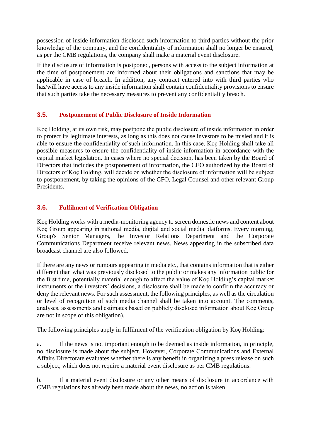possession of inside information disclosed such information to third parties without the prior knowledge of the company, and the confidentiality of information shall no longer be ensured, as per the CMB regulations, the company shall make a material event disclosure.

If the disclosure of information is postponed, persons with access to the subject information at the time of postponement are informed about their obligations and sanctions that may be applicable in case of breach. In addition, any contract entered into with third parties who has/will have access to any inside information shall contain confidentiality provisions to ensure that such parties take the necessary measures to prevent any confidentiality breach.

## <span id="page-6-0"></span>**3.5. Postponement of Public Disclosure of Inside Information**

Koç Holding, at its own risk, may postpone the public disclosure of inside information in order to protect its legitimate interests, as long as this does not cause investors to be misled and it is able to ensure the confidentiality of such information. In this case, Koç Holding shall take all possible measures to ensure the confidentiality of inside information in accordance with the capital market legislation. In cases where no special decision, has been taken by the Board of Directors that includes the postponement of information, the CEO authorized by the Board of Directors of Koç Holding, will decide on whether the disclosure of information will be subject to postponement, by taking the opinions of the CFO, Legal Counsel and other relevant Group Presidents.

# <span id="page-6-1"></span>**3.6. Fulfilment of Verification Obligation**

Koç Holding works with a media-monitoring agency to screen domestic news and content about Koç Group appearing in national media, digital and social media platforms. Every morning, Group's Senior Managers, the Investor Relations Department and the Corporate Communications Department receive relevant news. News appearing in the subscribed data broadcast channel are also followed.

If there are any news or rumours appearing in media etc., that contains information that is either different than what was previously disclosed to the public or makes any information public for the first time, potentially material enough to affect the value of Koç Holding's capital market instruments or the investors' decisions, a disclosure shall be made to confirm the accuracy or deny the relevant news. For such assessment, the following principles, as well as the circulation or level of recognition of such media channel shall be taken into account. The comments, analyses, assessments and estimates based on publicly disclosed information about Koç Group are not in scope of this obligation).

The following principles apply in fulfilment of the verification obligation by Koç Holding:

a. If the news is not important enough to be deemed as inside information, in principle, no disclosure is made about the subject. However, Corporate Communications and External Affairs Directorate evaluates whether there is any benefit in organizing a press release on such a subject, which does not require a material event disclosure as per CMB regulations.

b. If a material event disclosure or any other means of disclosure in accordance with CMB regulations has already been made about the news, no action is taken.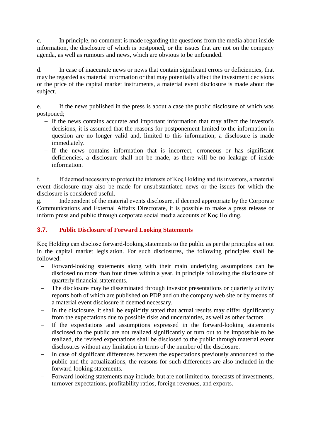c. In principle, no comment is made regarding the questions from the media about inside information, the disclosure of which is postponed, or the issues that are not on the company agenda, as well as rumours and news, which are obvious to be unfounded.

d. In case of inaccurate news or news that contain significant errors or deficiencies, that may be regarded as material information or that may potentially affect the investment decisions or the price of the capital market instruments, a material event disclosure is made about the subject.

e. If the news published in the press is about a case the public disclosure of which was postponed;

- If the news contains accurate and important information that may affect the investor's decisions, it is assumed that the reasons for postponement limited to the information in question are no longer valid and, limited to this information, a disclosure is made immediately.
- If the news contains information that is incorrect, erroneous or has significant deficiencies, a disclosure shall not be made, as there will be no leakage of inside information.

f. If deemed necessary to protect the interests of Koç Holding and its investors, a material event disclosure may also be made for unsubstantiated news or the issues for which the disclosure is considered useful.

g. Independent of the material events disclosure, if deemed appropriate by the Corporate Communications and External Affairs Directorate, it is possible to make a press release or inform press and public through corporate social media accounts of Koç Holding.

# <span id="page-7-0"></span>**3.7. Public Disclosure of Forward Looking Statements**

Koç Holding can disclose forward-looking statements to the public as per the principles set out in the capital market legislation. For such disclosures, the following principles shall be followed:

- Forward-looking statements along with their main underlying assumptions can be disclosed no more than four times within a year, in principle following the disclosure of quarterly financial statements.
- The disclosure may be disseminated through investor presentations or quarterly activity reports both of which are published on PDP and on the company web site or by means of a material event disclosure if deemed necessary.
- In the disclosure, it shall be explicitly stated that actual results may differ significantly from the expectations due to possible risks and uncertainties, as well as other factors.
- If the expectations and assumptions expressed in the forward-looking statements disclosed to the public are not realized significantly or turn out to be impossible to be realized, the revised expectations shall be disclosed to the public through material event disclosures without any limitation in terms of the number of the disclosure.
- In case of significant differences between the expectations previously announced to the public and the actualizations, the reasons for such differences are also included in the forward-looking statements.
- Forward-looking statements may include, but are not limited to, forecasts of investments, turnover expectations, profitability ratios, foreign revenues, and exports.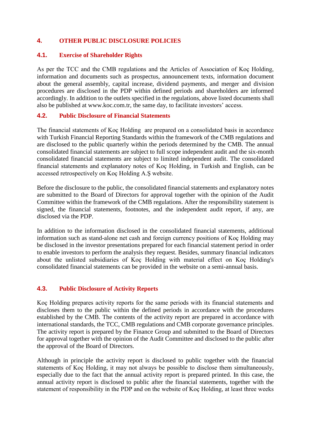## <span id="page-8-0"></span>**4. OTHER PUBLIC DISCLOSURE POLICIES**

#### <span id="page-8-1"></span>**4.1. Exercise of Shareholder Rights**

As per the TCC and the CMB regulations and the Articles of Association of Koç Holding, information and documents such as prospectus, announcement texts, information document about the general assembly, capital increase, dividend payments, and merger and division procedures are disclosed in the PDP within defined periods and shareholders are informed accordingly. In addition to the outlets specified in the regulations, above listed documents shall also be published at www.koc.com.tr, the same day, to facilitate investors' access.

#### <span id="page-8-2"></span>**4.2. Public Disclosure of Financial Statements**

The financial statements of Koç Holding are prepared on a consolidated basis in accordance with Turkish Financial Reporting Standards within the framework of the CMB regulations and are disclosed to the public quarterly within the periods determined by the CMB. The annual consolidated financial statements are subject to full scope independent audit and the six-month consolidated financial statements are subject to limited independent audit. The consolidated financial statements and explanatory notes of Koç Holding, in Turkish and English, can be accessed retrospectively on Koç Holding A.Ş website.

Before the disclosure to the public, the consolidated financial statements and explanatory notes are submitted to the Board of Directors for approval together with the opinion of the Audit Committee within the framework of the CMB regulations. After the responsibility statement is signed, the financial statements, footnotes, and the independent audit report, if any, are disclosed via the PDP.

In addition to the information disclosed in the consolidated financial statements, additional information such as stand-alone net cash and foreign currency positions of Koç Holding may be disclosed in the investor presentations prepared for each financial statement period in order to enable investors to perform the analysis they request. Besides, summary financial indicators about the unlisted subsidiaries of Koç Holding with material effect on Koç Holding's consolidated financial statements can be provided in the website on a semi-annual basis.

### <span id="page-8-3"></span>**4.3. Public Disclosure of Activity Reports**

Koç Holding prepares activity reports for the same periods with its financial statements and discloses them to the public within the defined periods in accordance with the procedures established by the CMB. The contents of the activity report are prepared in accordance with international standards, the TCC, CMB regulations and CMB corporate governance principles. The activity report is prepared by the Finance Group and submitted to the Board of Directors for approval together with the opinion of the Audit Committee and disclosed to the public after the approval of the Board of Directors.

Although in principle the activity report is disclosed to public together with the financial statements of Koç Holding, it may not always be possible to disclose them simultaneously, especially due to the fact that the annual activity report is prepared printed. In this case, the annual activity report is disclosed to public after the financial statements, together with the statement of responsibility in the PDP and on the website of Koç Holding, at least three weeks